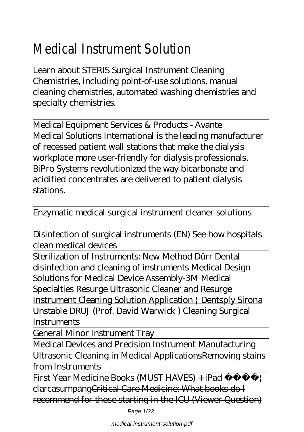# Medical Instrument Solut

Learn about STERIS Surgical Instrument Cleaning Chemistries, including point-of-use solutions, manual cleaning chemistries, automated washing chemistries and specialty chemistries.

Medical Equipment Services & Products - Avante Medical Solutions International is the leading manufacturer of recessed patient wall stations that make the dialysis workplace more user-friendly for dialysis professionals. BiPro Systems revolutionized the way bicarbonate and acidified concentrates are delivered to patient dialysis stations.

Enzymatic medical surgical instrument cleaner solutions

*Disinfection of surgical instruments (EN)* See how hospitals clean medical devices

Sterilization of Instruments: New Method Dürr Dental disinfection and cleaning of instruments *Medical Design Solutions for Medical Device Assembly-3M Medical Specialties* Resurge Ultrasonic Cleaner and Resurge Instrument Cleaning Solution Application | Dentsply Sirona *Unstable DRUJ (Prof. David Warwick ) Cleaning Surgical Instruments*

General Minor Instrument Tray

Medical Devices and Precision Instrument Manufacturing Ultrasonic Cleaning in Medical Applications*Removing stains from Instruments*

First Year Medicine Books (MUST HAVES) + iPad | clarcasumpangCritical Care Medicine: What books do I recommend for those starting in the ICU (Viewer Question)

Page 1/22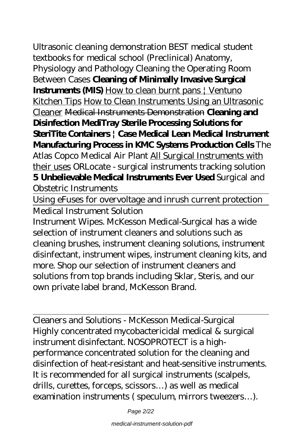medical-instrument-solution-pdf

Ultrasonic cleaning demonstration BEST medical student textbooks for medical school (Preclinical) Anatomy, Physiology and Pathology *Cleaning the Operating Room Between Cases* **Cleaning of Minimally Invasive Surgical Instruments (MIS)** How to clean burnt pans | Ventuno Kitchen Tips How to Clean Instruments Using an Ultrasonic Cleaner Medical Instruments Demonstration **Cleaning and Disinfection MediTray Sterile Processing Solutions for SteriTite Containers | Case Medical Lean Medical Instrument Manufacturing Process in KMC Systems Production Cells** The Atlas Copco Medical Air Plant All Surgical Instruments with their uses *ORLocate - surgical instruments tracking solution* **5 Unbelievable Medical Instruments Ever Used** *Surgical and Obstetric Instruments*

Using eFuses for overvoltage and inrush current protection Medical Instrument Solution

Instrument Wipes. McKesson Medical-Surgical has a wide selection of instrument cleaners and solutions such as cleaning brushes, instrument cleaning solutions, instrument disinfectant, instrument wipes, instrument cleaning kits, and more. Shop our selection of instrument cleaners and solutions from top brands including Sklar, Steris, and our own private label brand, McKesson Brand.

Cleaners and Solutions - McKesson Medical-Surgical Highly concentrated mycobactericidal medical & surgical instrument disinfectant. NOSOPROTECT is a highperformance concentrated solution for the cleaning and disinfection of heat-resistant and heat-sensitive instruments. It is recommended for all surgical instruments (scalpels, drills, curettes, forceps, scissors…) as well as medical examination instruments ( speculum, mirrors tweezers…).

Page 2/22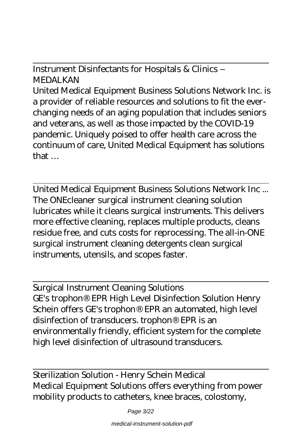Instrument Disinfectants for Hospitals & Clinics – MEDAI KAN

United Medical Equipment Business Solutions Network Inc. is a provider of reliable resources and solutions to fit the everchanging needs of an aging population that includes seniors and veterans, as well as those impacted by the COVID-19 pandemic. Uniquely poised to offer health care across the continuum of care, United Medical Equipment has solutions that …

United Medical Equipment Business Solutions Network Inc ... The ONEcleaner surgical instrument cleaning solution lubricates while it cleans surgical instruments. This delivers more effective cleaning, replaces multiple products, cleans residue free, and cuts costs for reprocessing. The all-in-ONE surgical instrument cleaning detergents clean surgical instruments, utensils, and scopes faster.

Surgical Instrument Cleaning Solutions GE's trophon® EPR High Level Disinfection Solution Henry Schein offers GE's trophon® EPR an automated, high level disinfection of transducers. trophon® EPR is an environmentally friendly, efficient system for the complete high level disinfection of ultrasound transducers.

Sterilization Solution - Henry Schein Medical Medical Equipment Solutions offers everything from power mobility products to catheters, knee braces, colostomy,

Page 3/22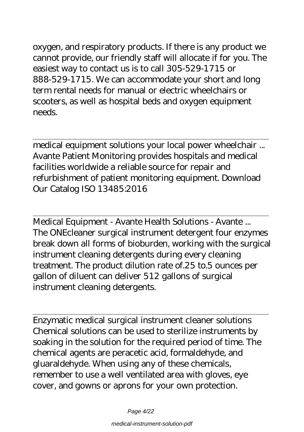oxygen, and respiratory products. If there is any product we cannot provide, our friendly staff will allocate if for you. The easiest way to contact us is to call 305-529-1715 or 888-529-1715. We can accommodate your short and long term rental needs for manual or electric wheelchairs or scooters, as well as hospital beds and oxygen equipment needs.

medical equipment solutions your local power wheelchair ... Avante Patient Monitoring provides hospitals and medical facilities worldwide a reliable source for repair and refurbishment of patient monitoring equipment. Download Our Catalog ISO 13485:2016

Medical Equipment - Avante Health Solutions - Avante ... The ONEcleaner surgical instrument detergent four enzymes break down all forms of bioburden, working with the surgical instrument cleaning detergents during every cleaning treatment. The product dilution rate of.25 to.5 ounces per gallon of diluent can deliver 512 gallons of surgical instrument cleaning detergents.

Enzymatic medical surgical instrument cleaner solutions Chemical solutions can be used to sterilize instruments by soaking in the solution for the required period of time. The chemical agents are peracetic acid, formaldehyde, and gluaraldehyde. When using any of these chemicals, remember to use a well ventilated area with gloves, eye cover, and gowns or aprons for your own protection.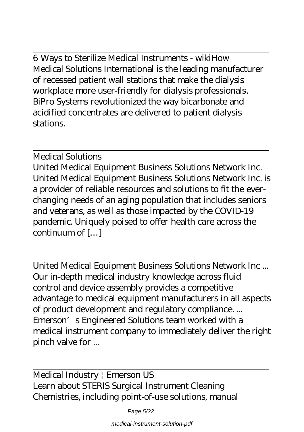6 Ways to Sterilize Medical Instruments - wikiHow Medical Solutions International is the leading manufacturer of recessed patient wall stations that make the dialysis workplace more user-friendly for dialysis professionals. BiPro Systems revolutionized the way bicarbonate and acidified concentrates are delivered to patient dialysis stations.

### Medical Solutions

United Medical Equipment Business Solutions Network Inc. United Medical Equipment Business Solutions Network Inc. is a provider of reliable resources and solutions to fit the everchanging needs of an aging population that includes seniors and veterans, as well as those impacted by the COVID-19 pandemic. Uniquely poised to offer health care across the continuum of […]

United Medical Equipment Business Solutions Network Inc ... Our in-depth medical industry knowledge across fluid control and device assembly provides a competitive advantage to medical equipment manufacturers in all aspects of product development and regulatory compliance. ... Emerson's Engineered Solutions team worked with a medical instrument company to immediately deliver the right pinch valve for ...

Medical Industry | Emerson US Learn about STERIS Surgical Instrument Cleaning Chemistries, including point-of-use solutions, manual

Page 5/22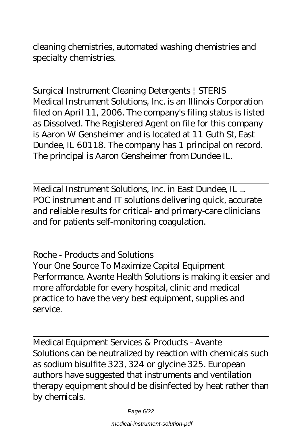cleaning chemistries, automated washing chemistries and specialty chemistries.

Surgical Instrument Cleaning Detergents | STERIS Medical Instrument Solutions, Inc. is an Illinois Corporation filed on April 11, 2006. The company's filing status is listed as Dissolved. The Registered Agent on file for this company is Aaron W Gensheimer and is located at 11 Guth St, East Dundee, IL 60118. The company has 1 principal on record. The principal is Aaron Gensheimer from Dundee IL.

Medical Instrument Solutions, Inc. in East Dundee, IL ... POC instrument and IT solutions delivering quick, accurate and reliable results for critical- and primary-care clinicians and for patients self-monitoring coagulation.

Roche - Products and Solutions Your One Source To Maximize Capital Equipment Performance. Avante Health Solutions is making it easier and more affordable for every hospital, clinic and medical practice to have the very best equipment, supplies and service.

Medical Equipment Services & Products - Avante Solutions can be neutralized by reaction with chemicals such as sodium bisulfite 323, 324 or glycine 325. European authors have suggested that instruments and ventilation therapy equipment should be disinfected by heat rather than by chemicals.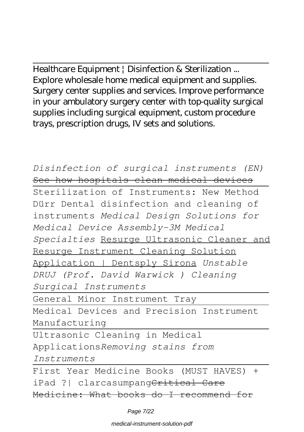Healthcare Equipment | Disinfection & Sterilization ... Explore wholesale home medical equipment and supplies. Surgery center supplies and services. Improve performance in your ambulatory surgery center with top-quality surgical supplies including surgical equipment, custom procedure trays, prescription drugs, IV sets and solutions.

*Disinfection of surgical instruments (EN)* See how hospitals clean medical devices Sterilization of Instruments: New Method Dürr Dental disinfection and cleaning of instruments *Medical Design Solutions for Medical Device Assembly-3M Medical Specialties* Resurge Ultrasonic Cleaner and Resurge Instrument Cleaning Solution Application | Dentsply Sirona *Unstable DRUJ (Prof. David Warwick ) Cleaning Surgical Instruments* General Minor Instrument Tray Medical Devices and Precision Instrument Manufacturing Ultrasonic Cleaning in Medical Applications*Removing stains from Instruments* First Year Medicine Books (MUST HAVES) + iPad ?| clarcasumpang<del>Critical Care</del> Medicine: What books do I recommend for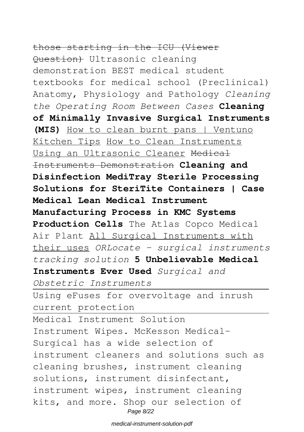# those starting in the ICU (Viewer

Question) Ultrasonic cleaning demonstration BEST medical student textbooks for medical school (Preclinical) Anatomy, Physiology and Pathology *Cleaning the Operating Room Between Cases* **Cleaning of Minimally Invasive Surgical Instruments (MIS)** How to clean burnt pans | Ventuno Kitchen Tips How to Clean Instruments Using an Ultrasonic Cleaner Medical Instruments Demonstration **Cleaning and Disinfection MediTray Sterile Processing Solutions for SteriTite Containers | Case Medical Lean Medical Instrument Manufacturing Process in KMC Systems Production Cells** The Atlas Copco Medical Air Plant All Surgical Instruments with their uses *ORLocate - surgical instruments tracking solution* **5 Unbelievable Medical Instruments Ever Used** *Surgical and Obstetric Instruments* Using eFuses for overvoltage and inrush current protection Medical Instrument Solution Instrument Wipes. McKesson Medical-Surgical has a wide selection of instrument cleaners and solutions such as cleaning brushes, instrument cleaning solutions, instrument disinfectant, instrument wipes, instrument cleaning kits, and more. Shop our selection of Page 8/22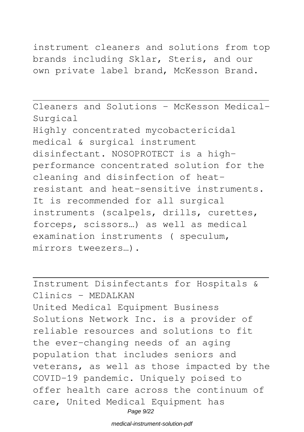# instrument cleaners and solutions from top brands including Sklar, Steris, and our

own private label brand, McKesson Brand.

Cleaners and Solutions - McKesson Medical-Surgical Highly concentrated mycobactericidal medical & surgical instrument disinfectant. NOSOPROTECT is a highperformance concentrated solution for the cleaning and disinfection of heatresistant and heat-sensitive instruments. It is recommended for all surgical instruments (scalpels, drills, curettes, forceps, scissors…) as well as medical examination instruments ( speculum, mirrors tweezers…).

Instrument Disinfectants for Hospitals & Clinics – MEDALKAN United Medical Equipment Business Solutions Network Inc. is a provider of reliable resources and solutions to fit the ever-changing needs of an aging population that includes seniors and veterans, as well as those impacted by the COVID-19 pandemic. Uniquely poised to offer health care across the continuum of care, United Medical Equipment has Page 9/22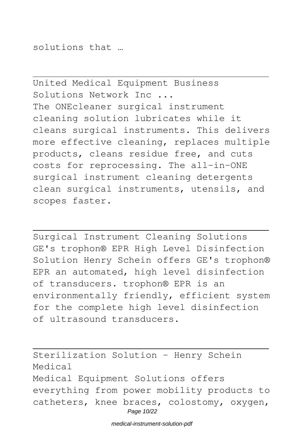solutions that …

United Medical Equipment Business Solutions Network Inc ... The ONEcleaner surgical instrument cleaning solution lubricates while it cleans surgical instruments. This delivers more effective cleaning, replaces multiple products, cleans residue free, and cuts costs for reprocessing. The all-in-ONE surgical instrument cleaning detergents clean surgical instruments, utensils, and scopes faster.

Surgical Instrument Cleaning Solutions GE's trophon® EPR High Level Disinfection Solution Henry Schein offers GE's trophon® EPR an automated, high level disinfection of transducers. trophon® EPR is an environmentally friendly, efficient system for the complete high level disinfection of ultrasound transducers.

Sterilization Solution - Henry Schein Medical Medical Equipment Solutions offers everything from power mobility products to catheters, knee braces, colostomy, oxygen, Page 10/22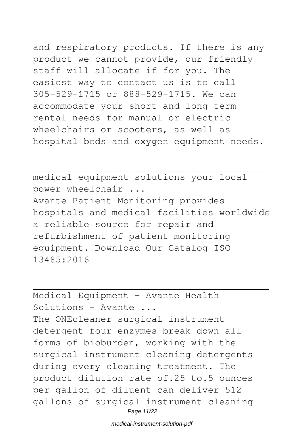and respiratory products. If there is any product we cannot provide, our friendly staff will allocate if for you. The easiest way to contact us is to call 305-529-1715 or 888-529-1715. We can accommodate your short and long term rental needs for manual or electric wheelchairs or scooters, as well as hospital beds and oxygen equipment needs.

medical equipment solutions your local power wheelchair ... Avante Patient Monitoring provides hospitals and medical facilities worldwide a reliable source for repair and refurbishment of patient monitoring equipment. Download Our Catalog ISO 13485:2016

Medical Equipment - Avante Health Solutions - Avante ... The ONEcleaner surgical instrument detergent four enzymes break down all forms of bioburden, working with the surgical instrument cleaning detergents during every cleaning treatment. The product dilution rate of.25 to.5 ounces per gallon of diluent can deliver 512 gallons of surgical instrument cleaning Page 11/22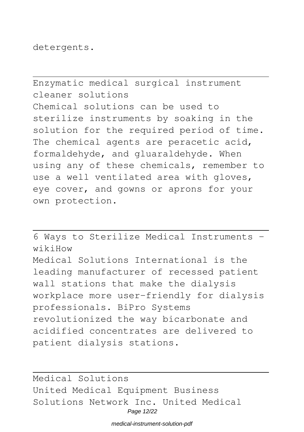detergents.

Enzymatic medical surgical instrument cleaner solutions Chemical solutions can be used to sterilize instruments by soaking in the solution for the required period of time. The chemical agents are peracetic acid, formaldehyde, and gluaraldehyde. When using any of these chemicals, remember to use a well ventilated area with gloves, eye cover, and gowns or aprons for your own protection.

6 Ways to Sterilize Medical Instruments wikiHow Medical Solutions International is the leading manufacturer of recessed patient wall stations that make the dialysis workplace more user-friendly for dialysis professionals. BiPro Systems revolutionized the way bicarbonate and acidified concentrates are delivered to patient dialysis stations.

Medical Solutions United Medical Equipment Business Solutions Network Inc. United Medical Page 12/22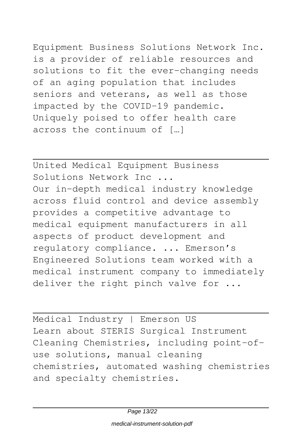Equipment Business Solutions Network Inc. is a provider of reliable resources and solutions to fit the ever-changing needs of an aging population that includes seniors and veterans, as well as those impacted by the COVID-19 pandemic. Uniquely poised to offer health care across the continuum of […]

United Medical Equipment Business Solutions Network Inc ... Our in-depth medical industry knowledge across fluid control and device assembly provides a competitive advantage to medical equipment manufacturers in all aspects of product development and regulatory compliance. ... Emerson's Engineered Solutions team worked with a medical instrument company to immediately deliver the right pinch valve for ...

Medical Industry | Emerson US Learn about STERIS Surgical Instrument Cleaning Chemistries, including point-ofuse solutions, manual cleaning chemistries, automated washing chemistries and specialty chemistries.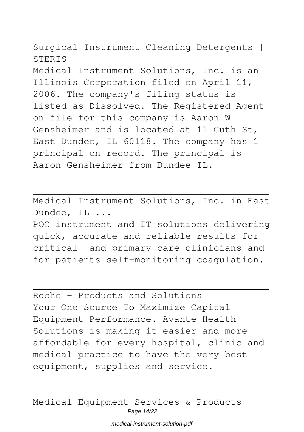Surgical Instrument Cleaning Detergents | **STERIS** 

Medical Instrument Solutions, Inc. is an Illinois Corporation filed on April 11, 2006. The company's filing status is listed as Dissolved. The Registered Agent on file for this company is Aaron W Gensheimer and is located at 11 Guth St, East Dundee, IL 60118. The company has 1 principal on record. The principal is Aaron Gensheimer from Dundee IL.

Medical Instrument Solutions, Inc. in East Dundee, IL ... POC instrument and IT solutions delivering quick, accurate and reliable results for critical- and primary-care clinicians and

for patients self-monitoring coagulation.

Roche - Products and Solutions Your One Source To Maximize Capital Equipment Performance. Avante Health Solutions is making it easier and more affordable for every hospital, clinic and medical practice to have the very best equipment, supplies and service.

Medical Equipment Services & Products -Page 14/22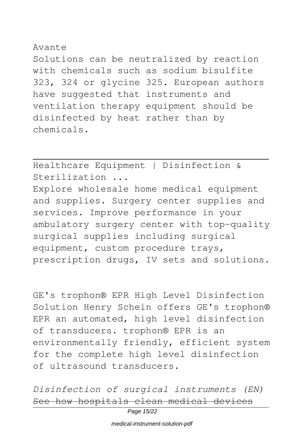### Avante

Solutions can be neutralized by reaction with chemicals such as sodium bisulfite 323, 324 or glycine 325. European authors have suggested that instruments and ventilation therapy equipment should be disinfected by heat rather than by chemicals.

Healthcare Equipment | Disinfection & Sterilization ...

Explore wholesale home medical equipment and supplies. Surgery center supplies and services. Improve performance in your ambulatory surgery center with top-quality surgical supplies including surgical equipment, custom procedure trays, prescription drugs, IV sets and solutions.

GE's trophon® EPR High Level Disinfection Solution Henry Schein offers GE's trophon® EPR an automated, high level disinfection of transducers. trophon® EPR is an environmentally friendly, efficient system for the complete high level disinfection of ultrasound transducers.

*Disinfection of surgical instruments (EN)* See how hospitals clean medical devices

Page 15/22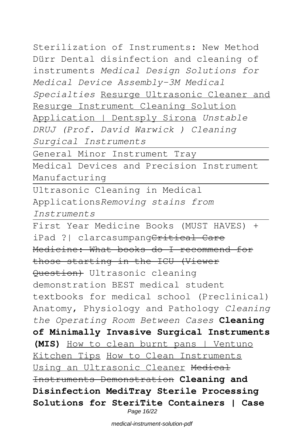Sterilization of Instruments: New Method Dürr Dental disinfection and cleaning of instruments *Medical Design Solutions for Medical Device Assembly-3M Medical Specialties* Resurge Ultrasonic Cleaner and Resurge Instrument Cleaning Solution Application | Dentsply Sirona *Unstable DRUJ (Prof. David Warwick ) Cleaning Surgical Instruments*

General Minor Instrument Tray

Medical Devices and Precision Instrument Manufacturing

Ultrasonic Cleaning in Medical Applications*Removing stains from Instruments*

First Year Medicine Books (MUST HAVES) + iPad ?| clarcasumpangCritical Care Medicine: What books do I recommend for those starting in the ICU (Viewer Question) Ultrasonic cleaning demonstration BEST medical student textbooks for medical school (Preclinical) Anatomy, Physiology and Pathology *Cleaning the Operating Room Between Cases* **Cleaning of Minimally Invasive Surgical Instruments (MIS)** How to clean burnt pans | Ventuno Kitchen Tips How to Clean Instruments Using an Ultrasonic Cleaner Medical Instruments Demonstration **Cleaning and Disinfection MediTray Sterile Processing Solutions for SteriTite Containers | Case** Page 16/22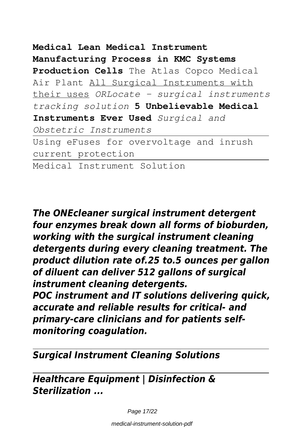# **Medical Lean Medical Instrument Manufacturing Process in KMC Systems Production Cells** The Atlas Copco Medical Air Plant All Surgical Instruments with their uses *ORLocate - surgical instruments tracking solution* **5 Unbelievable Medical Instruments Ever Used** *Surgical and Obstetric Instruments* Using eFuses for overvoltage and inrush current protection Medical Instrument Solution

*The ONEcleaner surgical instrument detergent four enzymes break down all forms of bioburden, working with the surgical instrument cleaning detergents during every cleaning treatment. The product dilution rate of.25 to.5 ounces per gallon of diluent can deliver 512 gallons of surgical instrument cleaning detergents.*

*POC instrument and IT solutions delivering quick, accurate and reliable results for critical- and primary-care clinicians and for patients selfmonitoring coagulation.*

## *Surgical Instrument Cleaning Solutions*

*Healthcare Equipment | Disinfection & Sterilization ...*

Page 17/22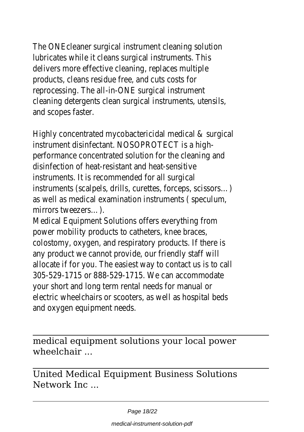The ONEcleaner surgical instrument cleaning solution lubricates while it cleans surgical instruments. delivers more effective cleaning, replaces multiple products, cleans residue free, and cuts costs reprocessing. The all-in-ONE surgical instrum cleaning detergents clean surgical instruments, ute and scopes faste

Highly concentrated mycobactericidal medical & sur instrument disinfectant. NOSOPROTECT is a performance concentrated solution for the cleaning disinfection of heat-resistant and heat-sens instruments. It is recommended for all sure instruments (scalpels, drills, curettes, forceps, scisse as well as medical examination instruments (spec mirrors tweezers..

Medical Equipment Solutions offers everything power mobility products to catheters, knee bra colostomy, oxygen, and respiratory products. If the any product we cannot provide, our friendly staf allocate if for you. The easiest way to contact us is to 305-529-1715 or 888-529-1715. We can accomme your short and long term rental needs for manu electric wheelchairs or scooters, as well as hospital and oxygen equipment nee

medical equipment solutions your local power wheelchair ...

United Medical Equipment Business Solutions Network Inc ...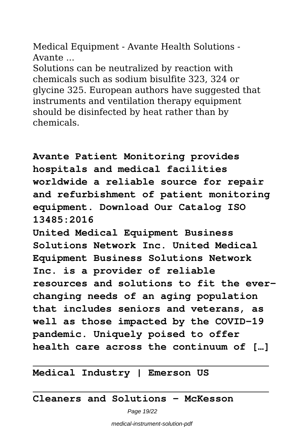Medical Equipment - Avante Health Solutions - Avante ...

Solutions can be neutralized by reaction with chemicals such as sodium bisulfite 323, 324 or glycine 325. European authors have suggested that instruments and ventilation therapy equipment should be disinfected by heat rather than by chemicals.

**Avante Patient Monitoring provides hospitals and medical facilities worldwide a reliable source for repair and refurbishment of patient monitoring equipment. Download Our Catalog ISO 13485:2016**

**United Medical Equipment Business Solutions Network Inc. United Medical Equipment Business Solutions Network Inc. is a provider of reliable resources and solutions to fit the everchanging needs of an aging population that includes seniors and veterans, as well as those impacted by the COVID-19 pandemic. Uniquely poised to offer health care across the continuum of […]**

**Medical Industry | Emerson US**

**Cleaners and Solutions - McKesson**

Page 19/22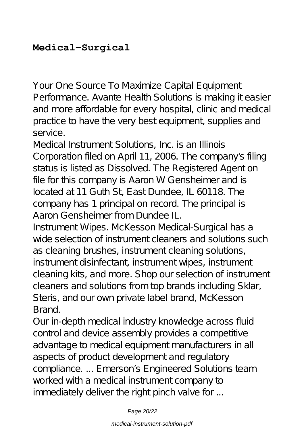# **Medical-Surgical**

Your One Source To Maximize Capital Equipment Performance. Avante Health Solutions is making it easier and more affordable for every hospital, clinic and medical practice to have the very best equipment, supplies and service.

Medical Instrument Solutions, Inc. is an Illinois Corporation filed on April 11, 2006. The company's filing status is listed as Dissolved. The Registered Agent on file for this company is Aaron W Gensheimer and is located at 11 Guth St, East Dundee, IL 60118. The company has 1 principal on record. The principal is Aaron Gensheimer from Dundee IL.

Instrument Wipes. McKesson Medical-Surgical has a wide selection of instrument cleaners and solutions such as cleaning brushes, instrument cleaning solutions, instrument disinfectant, instrument wipes, instrument cleaning kits, and more. Shop our selection of instrument cleaners and solutions from top brands including Sklar, Steris, and our own private label brand, McKesson Brand.

Our in-depth medical industry knowledge across fluid control and device assembly provides a competitive advantage to medical equipment manufacturers in all aspects of product development and regulatory compliance. ... Emerson's Engineered Solutions team worked with a medical instrument company to immediately deliver the right pinch valve for ...

Page 20/22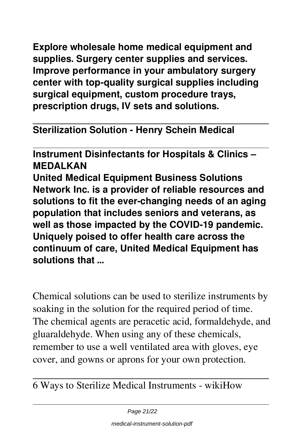**Explore wholesale home medical equipment and supplies. Surgery center supplies and services. Improve performance in your ambulatory surgery center with top-quality surgical supplies including surgical equipment, custom procedure trays, prescription drugs, IV sets and solutions.**

**Sterilization Solution - Henry Schein Medical**

**Instrument Disinfectants for Hospitals & Clinics – MEDALKAN United Medical Equipment Business Solutions Network Inc. is a provider of reliable resources and solutions to fit the ever-changing needs of an aging population that includes seniors and veterans, as well as those impacted by the COVID-19 pandemic. Uniquely poised to offer health care across the continuum of care, United Medical Equipment has solutions that …**

Chemical solutions can be used to sterilize instruments by soaking in the solution for the required period of time. The chemical agents are peracetic acid, formaldehyde, and gluaraldehyde. When using any of these chemicals, remember to use a well ventilated area with gloves, eye cover, and gowns or aprons for your own protection.

6 Ways to Sterilize Medical Instruments - wikiHow